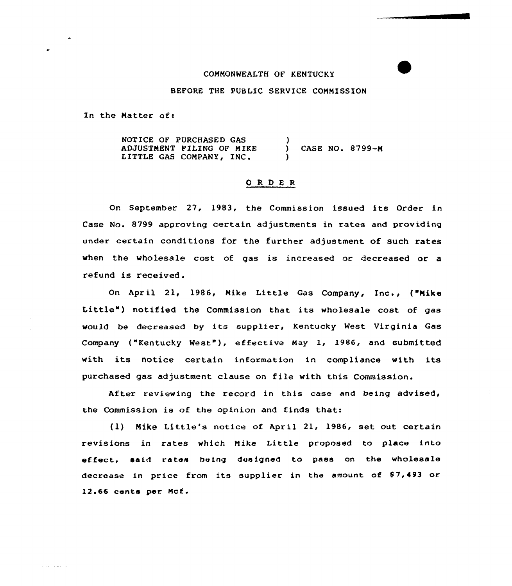## COMMONWEALTH OF KENTUCKY

### BEFORE THE PUBLIC SERVICE COMMISSION

In the Matter of:

NOTICE OF PURCHASED GAS ADJUSTMENT FILING OF MIKE LITTLE GAS COMPANY, INC. ) } CASE NO. 8799-M )

# 0 R <sup>D</sup> E R

On September 27, 1983, the Commission issued its Order in Case No. 8799 approving certain adjustments in rates and providing under certain conditions for the further adjustment of such rates when the wholesale cost of gas is increased or decreased or a refund is received.

On April 21, 1986, Mike Little Gas Company, Inc., ("Mike Little") notified the Commission that its wholesale cost of gas would be decreased by its supplier, Kentucky West Virginia Gas Company ("Kentucky West"), effective May 1, 1986, and submitted with its notice certain information in compliance with its purchased gas adjustment clause on file with this Commission.

After reviewing the record in this case and being advised, the Commission is of the opinion and finds that:

(1) Mike Little's notice of April 21, 1986, set out certain revisions in rates which Mike Little proposed to place into effect, said rates heing designed to pass on the wholesale decrease in price from its supplier in the amount of \$7,493 or. 12.66 cents per Mcf.

 $\mathcal{A} \times \mathcal{A} \times \mathcal{A} \times \mathcal{A}$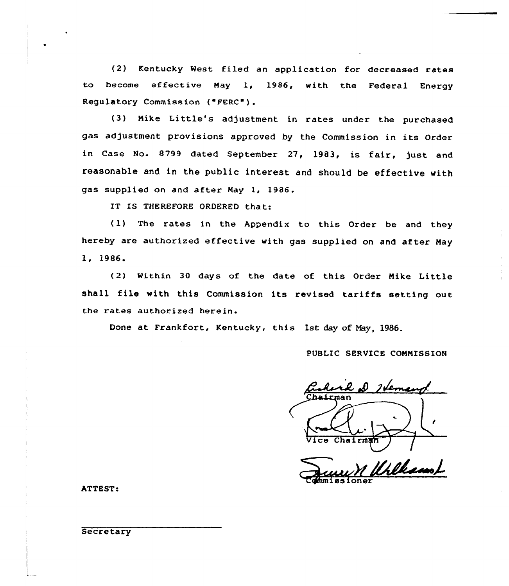(2) Kentucky West filed an application for decreased rates to become effective May 1, 1986, with the Federal Energy Regulatory Commission ("FERC").

(3) Nike Little's adjustment in rates under the purchased gas adjustment provisions approved by the Commission in its Order in Case No. 8799 dated September 27, 1983, is fair, just and reasonable and in the public interest and should be effective with gas supplied on and after Nay 1, 1986.

IT IS THEREFORE ORDERED that:

(1) The rates in the Appendix to this Order be and they hereby are authorized effective with gas supplied on and after Nay 1, l986.

(2) within 30 days of the date of this Order Nike Little shall file with this Commission its revised tariffs setting out the rates authorized herein

Done at Frankfort, Kentucky, this 1st day of Nay, 1986.

PUBLIC SERVICE COMMISSION

l D Heman Chairman

...~A~=—l dhuni ssioner

ATTEST: